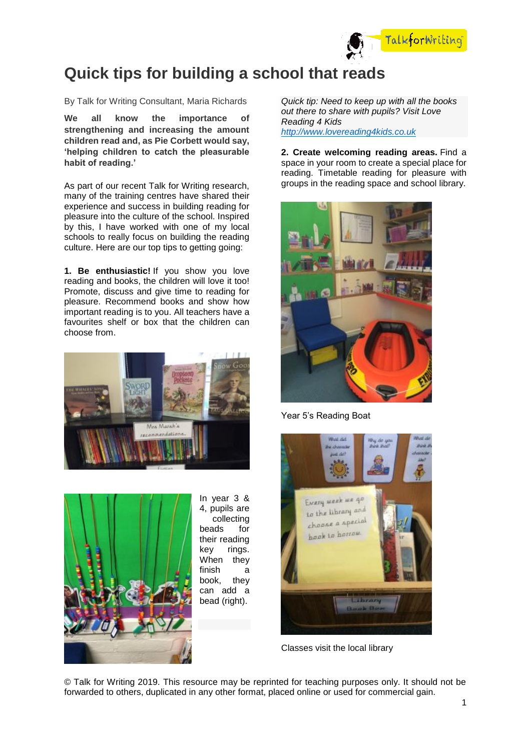

## **Quick tips for building a school that reads**

By Talk for Writing Consultant, Maria Richards

**We all know the importance of strengthening and increasing the amount children read and, as Pie Corbett would say, 'helping children to catch the pleasurable habit of reading.'**

As part of our recent Talk for Writing research, many of the training centres have shared their experience and success in building reading for pleasure into the culture of the school. Inspired by this, I have worked with one of my local schools to really focus on building the reading culture. Here are our top tips to getting going:

**1. Be enthusiastic!** If you show you love reading and books, the children will love it too! Promote, discuss and give time to reading for pleasure. Recommend books and show how important reading is to you. All teachers have a favourites shelf or box that the children can choose from.





In year 3 & 4, pupils are collecting beads for their reading key rings. When they finish a book, they can add a bead (right).

*Quick tip: Need to keep up with all the books out there to share with pupils? Visit Love Reading 4 Kids [http://www.lovereading4kids.co.uk](http://www.lovereading4kids.co.uk/)*

**2. Create welcoming reading areas.** Find a space in your room to create a special place for reading. Timetable reading for pleasure with groups in the reading space and school library.



Year 5's Reading Boat



Classes visit the local library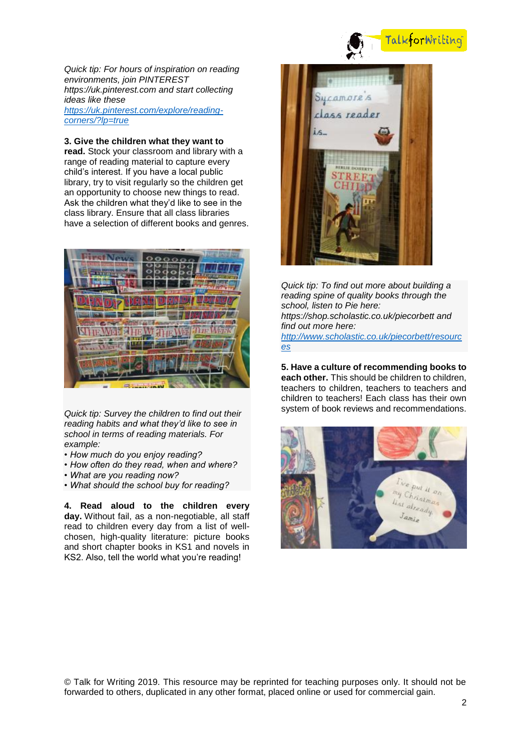

## TalkforWriting

*Quick tip: For hours of inspiration on reading environments, join PINTEREST https://uk.pinterest.com and start collecting ideas like these [https://uk.pinterest.com/explore/reading](https://uk.pinterest.com/explore/reading-corners/?lp=true)[corners/?lp=true](https://uk.pinterest.com/explore/reading-corners/?lp=true)*

**3. Give the children what they want to read.** Stock your classroom and library with a range of reading material to capture every child's interest. If you have a local public library, try to visit regularly so the children get an opportunity to choose new things to read. Ask the children what they'd like to see in the class library. Ensure that all class libraries have a selection of different books and genres.



*Quick tip: Survey the children to find out their reading habits and what they'd like to see in school in terms of reading materials. For example:*

- *How much do you enjoy reading?*
- *How often do they read, when and where?*
- *What are you reading now?*
- *What should the school buy for reading?*

**4. Read aloud to the children every day.** Without fail, as a non-negotiable, all staff read to children every day from a list of wellchosen, high-quality literature: picture books and short chapter books in KS1 and novels in KS2. Also, tell the world what you're reading!



*Quick tip: To find out more about building a reading spine of quality books through the school, listen to Pie here: https://shop.scholastic.co.uk/piecorbett and find out more here: [http://www.scholastic.co.uk/piecorbett/resourc](http://www.scholastic.co.uk/piecorbett/resources) [es](http://www.scholastic.co.uk/piecorbett/resources)*

**5. Have a culture of recommending books to each other.** This should be children to children, teachers to children, teachers to teachers and children to teachers! Each class has their own system of book reviews and recommendations.

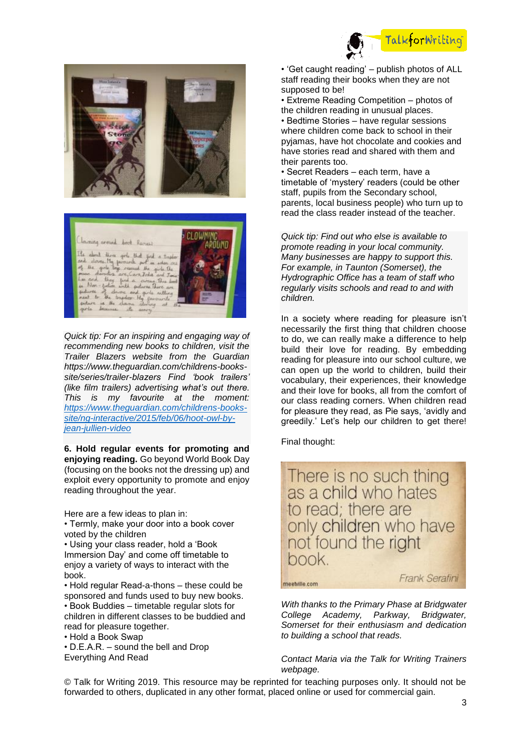





*Quick tip: For an inspiring and engaging way of recommending new books to children, visit the Trailer Blazers website from the Guardian https://www.theguardian.com/childrens-bookssite/series/trailer-blazers Find 'book trailers' (like film trailers) advertising what's out there. This is my favourite at the moment: [https://www.theguardian.com/childrens-books](https://www.theguardian.com/childrens-books-site/ng-interactive/2015/feb/06/hoot-owl-by-jean-jullien-video)[site/ng-interactive/2015/feb/06/hoot-owl-by](https://www.theguardian.com/childrens-books-site/ng-interactive/2015/feb/06/hoot-owl-by-jean-jullien-video)[jean-jullien-video](https://www.theguardian.com/childrens-books-site/ng-interactive/2015/feb/06/hoot-owl-by-jean-jullien-video)*

**6. Hold regular events for promoting and enjoying reading.** Go beyond World Book Day (focusing on the books not the dressing up) and exploit every opportunity to promote and enjoy reading throughout the year.

Here are a few ideas to plan in:

• Termly, make your door into a book cover voted by the children

• Using your class reader, hold a 'Book Immersion Day' and come off timetable to enjoy a variety of ways to interact with the book.

• Hold regular Read-a-thons – these could be sponsored and funds used to buy new books. • Book Buddies – timetable regular slots for children in different classes to be buddied and read for pleasure together.

• Hold a Book Swap

• D.E.A.R. – sound the bell and Drop Everything And Read

• 'Get caught reading' – publish photos of ALL staff reading their books when they are not supposed to be!

• Extreme Reading Competition – photos of the children reading in unusual places.

• Bedtime Stories – have regular sessions where children come back to school in their pyjamas, have hot chocolate and cookies and have stories read and shared with them and their parents too.

• Secret Readers – each term, have a timetable of 'mystery' readers (could be other staff, pupils from the Secondary school, parents, local business people) who turn up to read the class reader instead of the teacher.

*Quick tip: Find out who else is available to promote reading in your local community. Many businesses are happy to support this. For example, in Taunton (Somerset), the Hydrographic Office has a team of staff who regularly visits schools and read to and with children.*

In a society where reading for pleasure isn't necessarily the first thing that children choose to do, we can really make a difference to help build their love for reading. By embedding reading for pleasure into our school culture, we can open up the world to children, build their vocabulary, their experiences, their knowledge and their love for books, all from the comfort of our class reading corners. When children read for pleasure they read, as Pie says, 'avidly and greedily.' Let's help our children to get there!

Final thought:

There is no such thing as a child who hates to read; there are only children who have not found the right book.

meetville.com

Frank Serafini

*With thanks to the Primary Phase at Bridgwater College Academy, Parkway, Bridgwater, Somerset for their enthusiasm and dedication to building a school that reads.*

## *Contact Maria via the Talk for Writing Trainers webpage.*